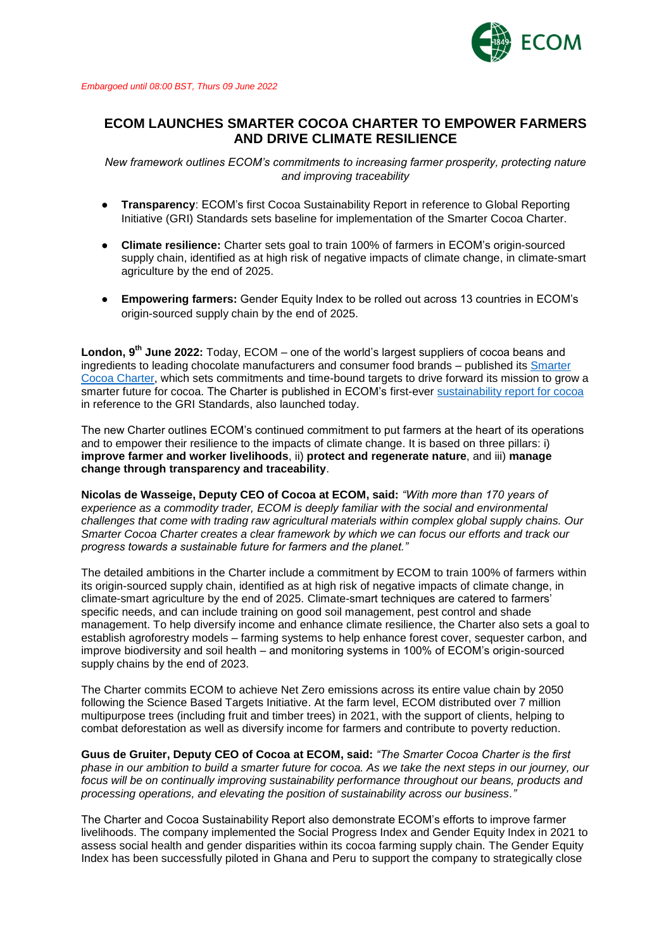

## **ECOM LAUNCHES SMARTER COCOA CHARTER TO EMPOWER FARMERS AND DRIVE CLIMATE RESILIENCE**

*New framework outlines ECOM's commitments to increasing farmer prosperity, protecting nature and improving traceability*

- **Transparency**: ECOM's first Cocoa Sustainability Report in reference to Global Reporting Initiative (GRI) Standards sets baseline for implementation of the Smarter Cocoa Charter.
- **Climate resilience:** Charter sets goal to train 100% of farmers in ECOM's origin-sourced supply chain, identified as at high risk of negative impacts of climate change, in climate-smart agriculture by the end of 2025.
- **Empowering farmers:** Gender Equity Index to be rolled out across 13 countries in ECOM's origin-sourced supply chain by the end of 2025.

**London, 9 th June 2022:** Today, [ECOM](https://www.ecomtrading.com/) – one of the world's largest suppliers of cocoa beans and ingredients to leading chocolate manufacturers and consumer food brands – published its [Smarter](https://www.ecomtrading.com/smarter-cocoa-charter.pdf)  [Cocoa Charter,](https://www.ecomtrading.com/smarter-cocoa-charter.pdf) which sets commitments and time-bound targets to drive forward its mission to grow a smarter future for cocoa. The Charter is published in ECOM's first-ever [sustainability report for cocoa](https://www.ecomtrading.com/ECOM_Cocoa_Sustainability_Report_2021.pdf) in reference to the GRI Standards, also launched today.

The new Charter outlines ECOM's continued commitment to put farmers at the heart of its operations and to empower their resilience to the impacts of climate change. It is based on three pillars: i) **improve farmer and worker livelihoods**, ii) **protect and regenerate nature**, and iii) **manage change through transparency and traceability**.

**Nicolas de Wasseige, Deputy CEO of Cocoa at ECOM, said:** *"With more than 170 years of experience as a commodity trader, ECOM is deeply familiar with the social and environmental challenges that come with trading raw agricultural materials within complex global supply chains. Our Smarter Cocoa Charter creates a clear framework by which we can focus our efforts and track our progress towards a sustainable future for farmers and the planet."*

The detailed ambitions in the Charter include a commitment by ECOM to train 100% of farmers within its origin-sourced supply chain, identified as at high risk of negative impacts of climate change, in climate-smart agriculture by the end of 2025. Climate-smart techniques are catered to farmers' specific needs, and can include training on good soil management, pest control and shade management. To help diversify income and enhance climate resilience, the Charter also sets a goal to establish agroforestry models – farming systems to help enhance forest cover, sequester carbon, and improve biodiversity and soil health – and monitoring systems in 100% of ECOM's origin-sourced supply chains by the end of 2023.

The Charter commits ECOM to achieve Net Zero emissions across its entire value chain by 2050 following the Science Based Targets Initiative. At the farm level, ECOM distributed over 7 million multipurpose trees (including fruit and timber trees) in 2021, with the support of clients, helping to combat deforestation as well as diversify income for farmers and contribute to poverty reduction.

**Guus de Gruiter, Deputy CEO of Cocoa at ECOM, said:** *"The Smarter Cocoa Charter is the first phase in our ambition to build a smarter future for cocoa. As we take the next steps in our journey, our focus will be on continually improving sustainability performance throughout our beans, products and processing operations, and elevating the position of sustainability across our business."*

The Charter and Cocoa Sustainability Report also demonstrate ECOM's efforts to improve farmer livelihoods. The company implemented the Social Progress Index and Gender Equity Index in 2021 to assess social health and gender disparities within its cocoa farming supply chain. The Gender Equity Index has been successfully piloted in Ghana and Peru to support the company to strategically close